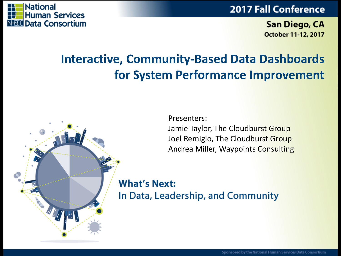



San Diego, CA October 11-12, 2017

## **Interactive, Community-Based Data Dashboards for System Performance Improvement**



**What's Next:** In Data, Leadership, and Community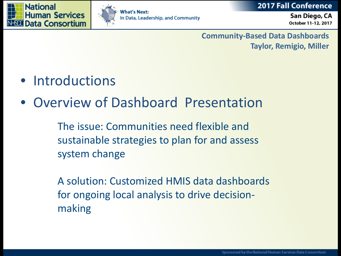





San Diego, CA October 11-12, 2017

**Community-Based Data Dashboards Taylor, Remigio, Miller**

- Introductions
- Overview of Dashboard Presentation

The issue: Communities need flexible and sustainable strategies to plan for and assess system change

A solution: Customized HMIS data dashboards for ongoing local analysis to drive decisionmaking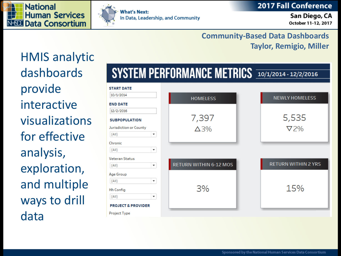



**What's Next:** In Data, Leadership, and Community

San Diego, CA October 11-12, 2017

### **Community -Based Data Dashboards Taylor, Remigio, Miller**

HMIS analytic dashboards provide interactive visualizations for effective analysis, exploration, and multiple ways to drill data

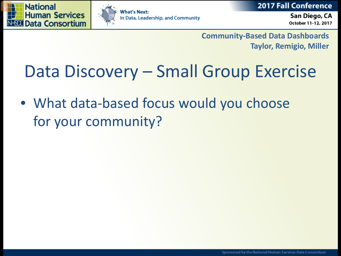





San Diego, CA October 11-12, 2017

**Community-Based Data Dashboards Taylor, Remigio, Miller**

# Data Discovery – Small Group Exercise

• What data-based focus would you choose for your community?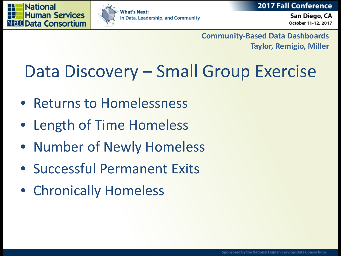





San Diego, CA October 11-12, 2017

**Community-Based Data Dashboards Taylor, Remigio, Miller**

# Data Discovery – Small Group Exercise

- Returns to Homelessness
- Length of Time Homeless
- Number of Newly Homeless
- Successful Permanent Exits
- Chronically Homeless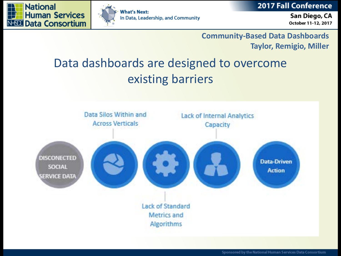





San Diego, CA October 11-12, 2017

### **Community-Based Data Dashboards Taylor, Remigio, Miller**

# Data dashboards are designed to overcome existing barriers

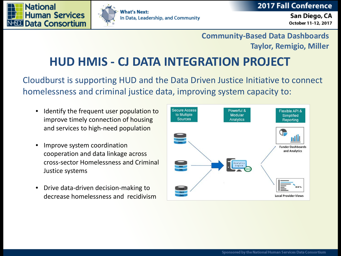





### **Community-Based Data Dashboards Taylor, Remigio, Miller**

## **HUD HMIS - CJ DATA INTEGRATION PROJECT**

Cloudburst is supporting HUD and the Data Driven Justice Initiative to connect homelessness and criminal justice data, improving system capacity to:

- Identify the frequent user population to improve timely connection of housing and services to high-need population
- Improve system coordination cooperation and data linkage across cross-sector Homelessness and Criminal Justice systems
- Drive data-driven decision-making to decrease homelessness and recidivism

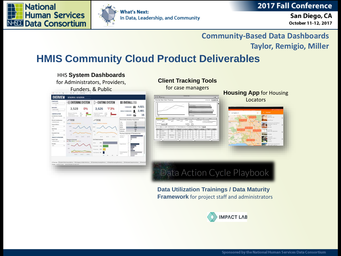





San Diego, CA October 11-12, 2017

### **Community-Based Data Dashboards Taylor, Remigio, Miller**

### **HMIS Community Cloud Product Deliverables**



**Data Utilization Trainings / Data Maturity Framework** for project staff and administrators

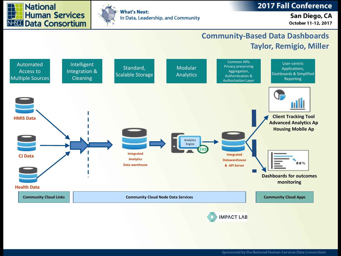



### **2017 Fall Conference**

### San Diego, CA October 11-12, 2017

### **Community-Based Data Dashboards Taylor, Remigio, Miller**

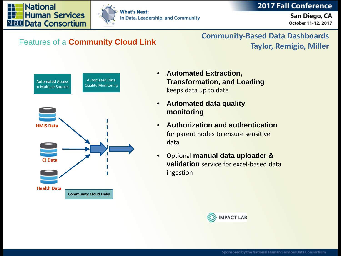



**What's Next:** In Data, Leadership, and Community

San Diego, CA October 11-12, 2017

**Community-Based Data Dashboards Taylor, Remigio, Miller** Features of a **Community Cloud Link**



- **Automated Extraction, Transformation, and Loading**  keeps data up to date
- **Automated data quality monitoring**
- **Authorization and authentication** for parent nodes to ensure sensitive data
- Optional **manual data uploader & validation** service for excel-based data ingestion

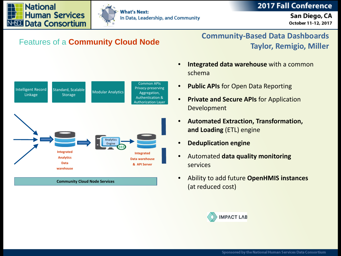



**What's Next:** In Data, Leadership, and Community

San Diego, CA October 11-12, 2017



**Community Cloud Node Services**

### **Community-Based Data Dashboards Taylor, Remigio, Miller** Features of a **Community Cloud Node**

- **Integrated data warehouse** with a common schema
- **Public APIs** for Open Data Reporting
- **Private and Secure APIs** for Application Development
- **Automated Extraction, Transformation, and Loading** (ETL) engine
- **Deduplication engine**
- Automated **data quality monitoring** services
- Ability to add future **OpenHMIS instances**  (at reduced cost)

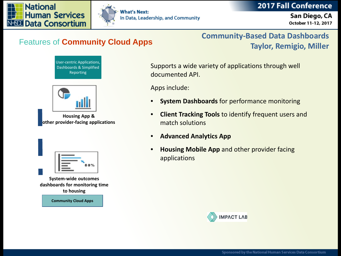San Diego, CA





**What's Next:** In Data, Leadership, and Community

### **Community-Based Data Dashboards Taylor, Remigio, Miller** Features of **Community Cloud Apps**

User-centric Applications, Dashboards & Simplified Reporting



**Housing App & other provider-facing applications** 

|  | 88% |
|--|-----|

**System-wide outcomes dashboards for monitoring time to housing**

**Community Cloud Apps**

Supports a wide variety of applications through well documented API.

Apps include:

- **System Dashboards** for performance monitoring
- **Client Tracking Tools** to identify frequent users and match solutions
- **Advanced Analytics App**
- **Housing Mobile App** and other provider facing applications



# October 11-12, 2017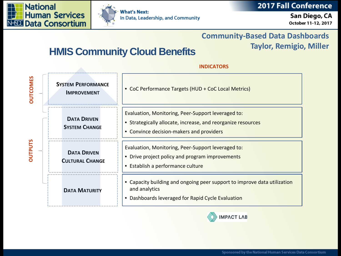



**What's Next:** In Data, Leadership, and Community

San Diego, CA October 11-12, 2017

### **Community-Based Data Dashboards**

### **Taylor, Remigio, Miller**

### **HMIS Community Cloud Benefits**

| <b>DUTCOMES</b> | <b>SYSTEM PERFORMANCE</b><br><b>IMPROVEMENT</b> | • CoC Performance Targets (HUD + CoC Local Metrics)                                                                                                            |  |
|-----------------|-------------------------------------------------|----------------------------------------------------------------------------------------------------------------------------------------------------------------|--|
|                 | <b>DATA DRIVEN</b><br><b>SYSTEM CHANGE</b>      | Evaluation, Monitoring, Peer-Support leveraged to:<br>• Strategically allocate, increase, and reorganize resources<br>• Convince decision-makers and providers |  |
| <b>DUTPUTS</b>  | <b>DATA DRIVEN</b><br><b>CULTURAL CHANGE</b>    | Evaluation, Monitoring, Peer-Support leveraged to:<br>• Drive project policy and program improvements<br>• Establish a performance culture                     |  |
|                 | <b>DATA MATURITY</b>                            | Capacity building and ongoing peer support to improve data utilization<br>and analytics<br>Dashboards leveraged for Rapid Cycle Evaluation                     |  |

### **INDICATORS**

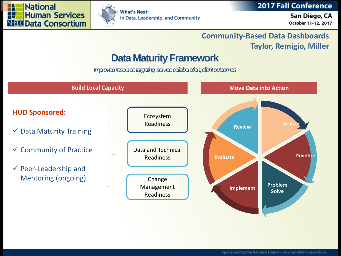



**2017 Fall Conference** 

San Diego, CA October 11-12, 2017

### **Community-Based Data Dashboards Taylor, Remigio, Miller**

### **Data Maturity Framework**

*Improved resource targeting, service collaboration, client outcomes* 

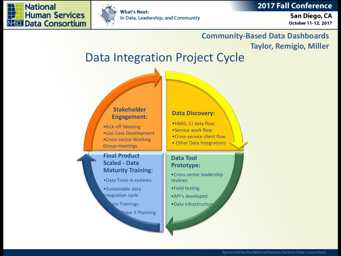



**What's Next:** In Data, Leadership, and Community

San Diego, CA October 11-12, 2017

### **Community-Based Data Dashboards Taylor, Remigio, Miller**

## Data Integration Project Cycle

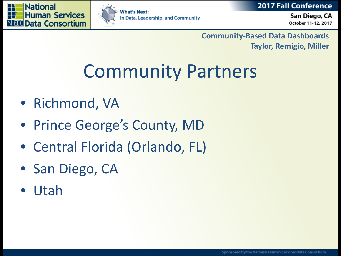





San Diego, CA October 11-12, 2017

**Community-Based Data Dashboards Taylor, Remigio, Miller**

# Community Partners

- Richmond, VA
- Prince George's County, MD
- Central Florida (Orlando, FL)
- San Diego, CA
- Utah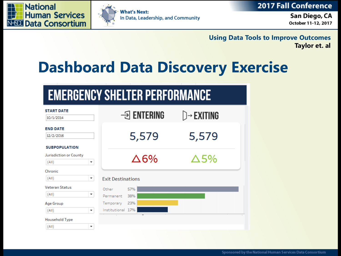





San Diego, CA October 11-12, 2017

**Limage Data Tools to Improve Outcomes Taylor, Remigio, Miller Taylor et. al**

# **Dashboard Data Discovery Exercise**

# **EMERGENCY SHELTER PERFORMANCE**

| <b>START DATE</b>      |                                                    |                    |                          |
|------------------------|----------------------------------------------------|--------------------|--------------------------|
| 10/1/2014              |                                                    | $\exists$ ENTERING | $\triangleright$ Exiting |
| <b>END DATE</b>        |                                                    |                    |                          |
| 12/2/2016              |                                                    | 5,579              | 5,579                    |
| <b>SUBPOPULATION</b>   |                                                    |                    |                          |
| Jurisdiction or County |                                                    |                    |                          |
| (AII)                  | $\overline{\mathbf v}$                             | $\Delta 6\%$       | ∆5%                      |
| Chronic                |                                                    |                    |                          |
| (AII)                  | $\overline{\mathbf v}$<br><b>Exit Destinations</b> |                    |                          |
| <b>Veteran Status</b>  | Other                                              | 57%                |                          |
| (AII)                  | $\overline{\mathbf v}$<br>Permanent                | 38%                |                          |
| Age Group              | Temporary                                          | 23%                |                          |
| (AII)                  | Institutional 17%<br>$\overline{\mathbf{v}}$       |                    |                          |
| Household Type         |                                                    |                    |                          |
| (AII)                  | $\overline{\phantom{a}}$                           |                    |                          |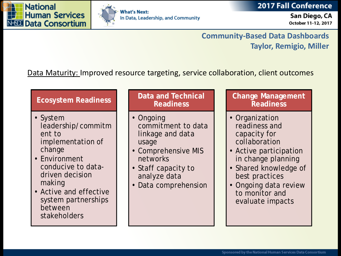

between

stakeholders



**What's Next:** In Data, Leadership, and Community

San Diego, CA October 11-12, 2017

### **Community-Based Data Dashboards Taylor, Remigio, Miller**

### Data Maturity: Improved resource targeting, service collaboration, client outcomes

### **Ecosystem Readiness** • System leadership/commitm ent to implementation of change • Environment conducive to datadriven decision making • Active and effective system partnerships **Data and Technical Readiness** • Ongoing commitment to data linkage and data usage • Comprehensive MIS networks • Staff capacity to analyze data • Data comprehension **Change Management Readiness** • Organization readiness and capacity for collaboration • Active participation in change planning • Shared knowledge of best practices • Ongoing data review to monitor and

evaluate impacts